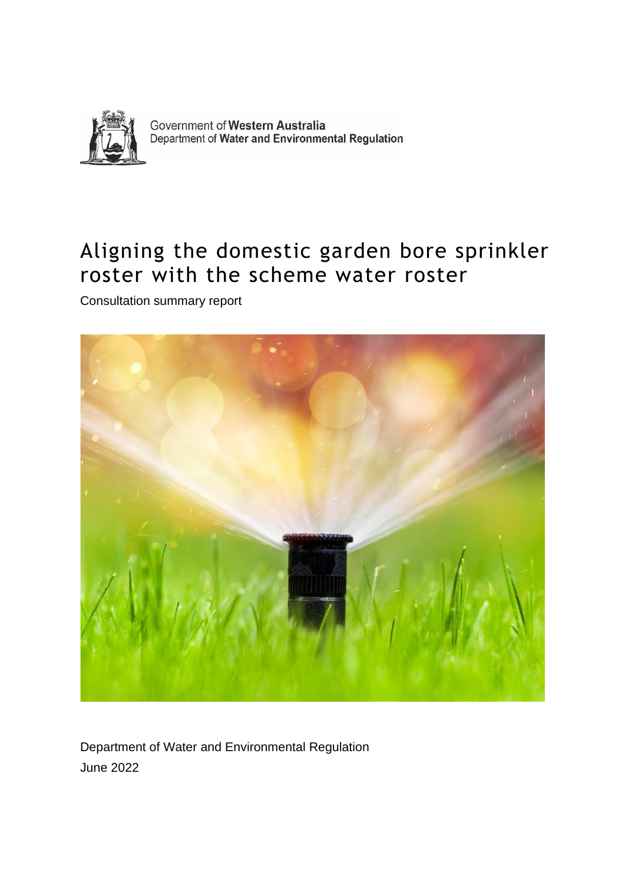

Government of Western Australia Department of Water and Environmental Regulation

### Aligning the domestic garden bore sprinkler roster with the scheme water roster

Consultation summary report



Department of Water and Environmental Regulation June 2022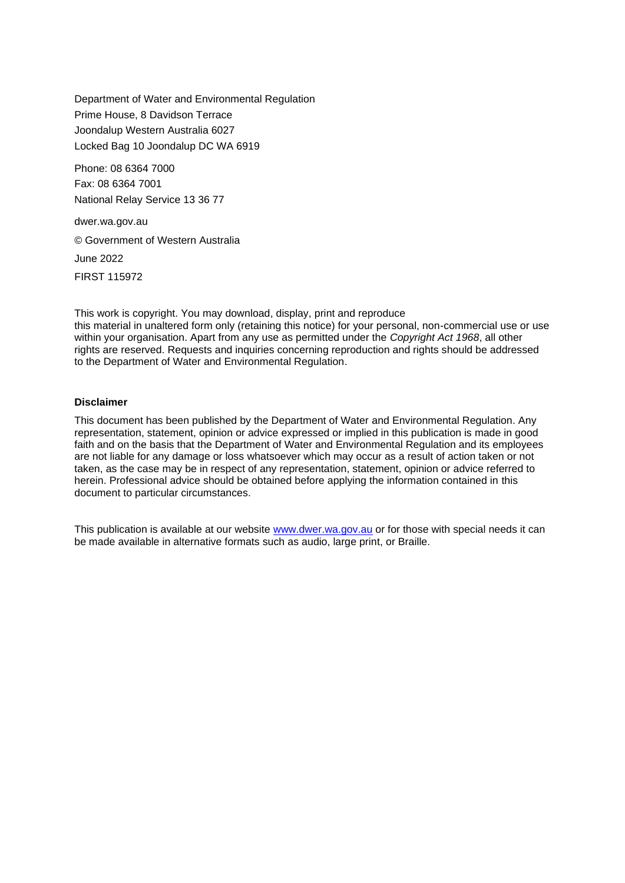Department of Water and Environmental Regulation Prime House, 8 Davidson Terrace Joondalup Western Australia 6027 Locked Bag 10 Joondalup DC WA 6919

Phone: 08 6364 7000 Fax: 08 6364 7001 National Relay Service 13 36 77

dwer.wa.gov.au © Government of Western Australia June 2022 FIRST 115972

This work is copyright. You may download, display, print and reproduce this material in unaltered form only (retaining this notice) for your personal, non-commercial use or use within your organisation. Apart from any use as permitted under the *Copyright Act 1968*, all other rights are reserved. Requests and inquiries concerning reproduction and rights should be addressed to the Department of Water and Environmental Regulation.

#### **Disclaimer**

This document has been published by the Department of Water and Environmental Regulation. Any representation, statement, opinion or advice expressed or implied in this publication is made in good faith and on the basis that the Department of Water and Environmental Regulation and its employees are not liable for any damage or loss whatsoever which may occur as a result of action taken or not taken, as the case may be in respect of any representation, statement, opinion or advice referred to herein. Professional advice should be obtained before applying the information contained in this document to particular circumstances.

This publication is available at our website [www.dwer.wa.gov.au](http://www.dwer.wa.gov.au/) or for those with special needs it can be made available in alternative formats such as audio, large print, or Braille.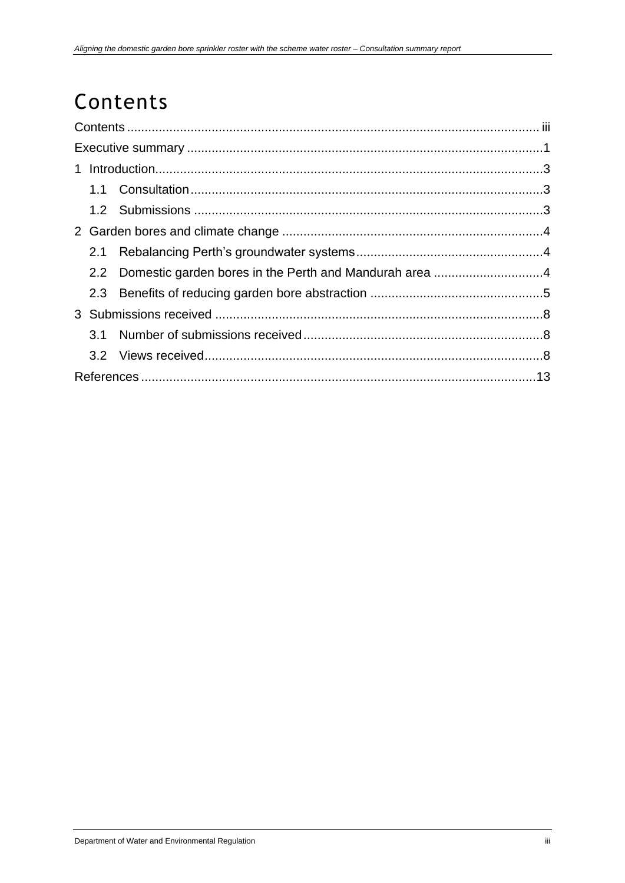## <span id="page-2-0"></span>Contents

|  | 2.1 |  |  |  |  |
|--|-----|--|--|--|--|
|  |     |  |  |  |  |
|  |     |  |  |  |  |
|  |     |  |  |  |  |
|  | 3.1 |  |  |  |  |
|  |     |  |  |  |  |
|  |     |  |  |  |  |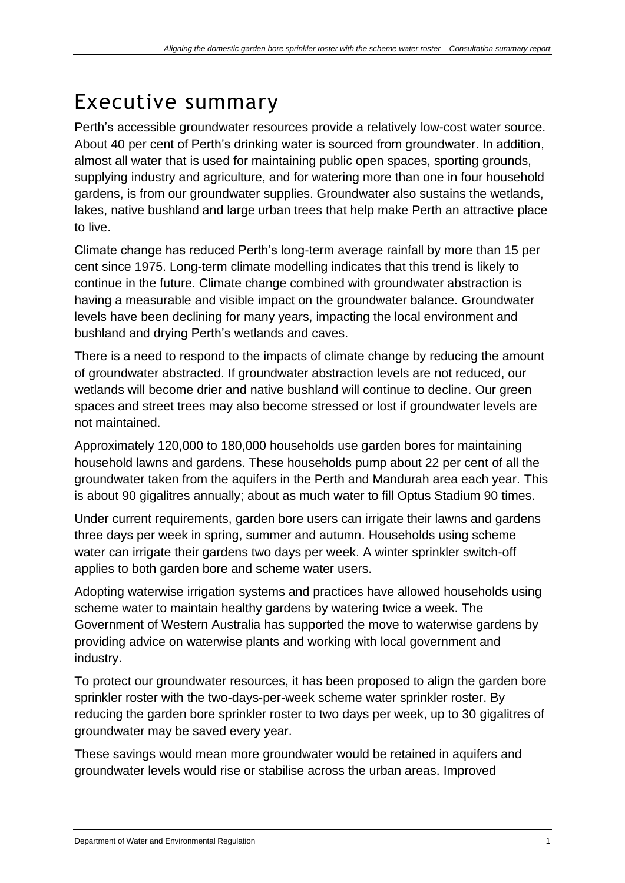### <span id="page-3-0"></span>Executive summary

Perth's accessible groundwater resources provide a relatively low-cost water source. About 40 per cent of Perth's drinking water is sourced from groundwater. In addition, almost all water that is used for maintaining public open spaces, sporting grounds, supplying industry and agriculture, and for watering more than one in four household gardens, is from our groundwater supplies. Groundwater also sustains the wetlands, lakes, native bushland and large urban trees that help make Perth an attractive place to live.

Climate change has reduced Perth's long-term average rainfall by more than 15 per cent since 1975. Long-term climate modelling indicates that this trend is likely to continue in the future. Climate change combined with groundwater abstraction is having a measurable and visible impact on the groundwater balance. Groundwater levels have been declining for many years, impacting the local environment and bushland and drying Perth's wetlands and caves.

There is a need to respond to the impacts of climate change by reducing the amount of groundwater abstracted. If groundwater abstraction levels are not reduced, our wetlands will become drier and native bushland will continue to decline. Our green spaces and street trees may also become stressed or lost if groundwater levels are not maintained.

Approximately 120,000 to 180,000 households use garden bores for maintaining household lawns and gardens. These households pump about 22 per cent of all the groundwater taken from the aquifers in the Perth and Mandurah area each year. This is about 90 gigalitres annually; about as much water to fill Optus Stadium 90 times.

Under current requirements, garden bore users can irrigate their lawns and gardens three days per week in spring, summer and autumn. Households using scheme water can irrigate their gardens two days per week. A winter sprinkler switch-off applies to both garden bore and scheme water users.

Adopting waterwise irrigation systems and practices have allowed households using scheme water to maintain healthy gardens by watering twice a week. The Government of Western Australia has supported the move to waterwise gardens by providing advice on waterwise plants and working with local government and industry.

To protect our groundwater resources, it has been proposed to align the garden bore sprinkler roster with the two-days-per-week scheme water sprinkler roster. By reducing the garden bore sprinkler roster to two days per week, up to 30 gigalitres of groundwater may be saved every year.

These savings would mean more groundwater would be retained in aquifers and groundwater levels would rise or stabilise across the urban areas. Improved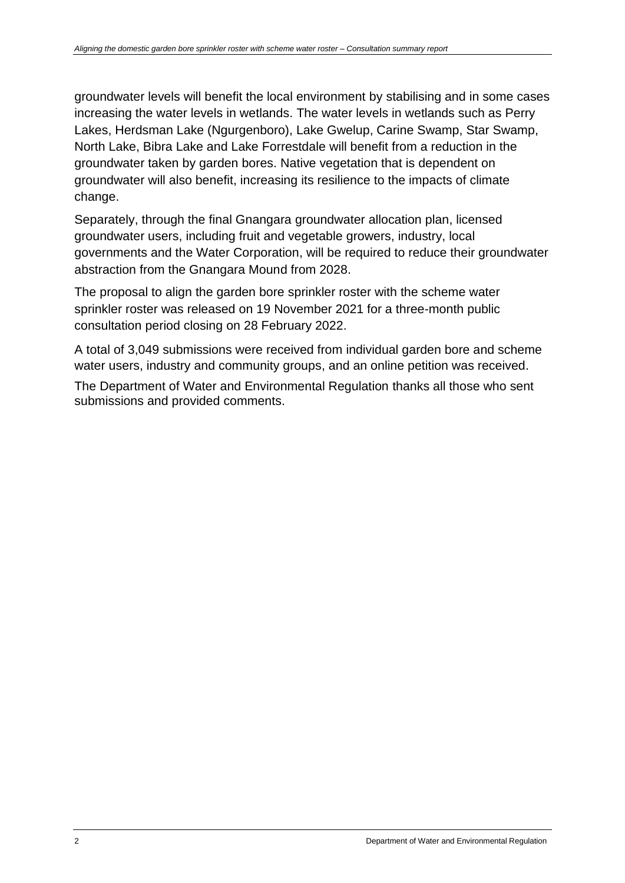groundwater levels will benefit the local environment by stabilising and in some cases increasing the water levels in wetlands. The water levels in wetlands such as Perry Lakes, Herdsman Lake (Ngurgenboro), Lake Gwelup, Carine Swamp, Star Swamp, North Lake, Bibra Lake and Lake Forrestdale will benefit from a reduction in the groundwater taken by garden bores. Native vegetation that is dependent on groundwater will also benefit, increasing its resilience to the impacts of climate change.

Separately, through the final Gnangara groundwater allocation plan, licensed groundwater users, including fruit and vegetable growers, industry, local governments and the Water Corporation, will be required to reduce their groundwater abstraction from the Gnangara Mound from 2028.

The proposal to align the garden bore sprinkler roster with the scheme water sprinkler roster was released on 19 November 2021 for a three-month public consultation period closing on 28 February 2022.

A total of 3,049 submissions were received from individual garden bore and scheme water users, industry and community groups, and an online petition was received.

The Department of Water and Environmental Regulation thanks all those who sent submissions and provided comments.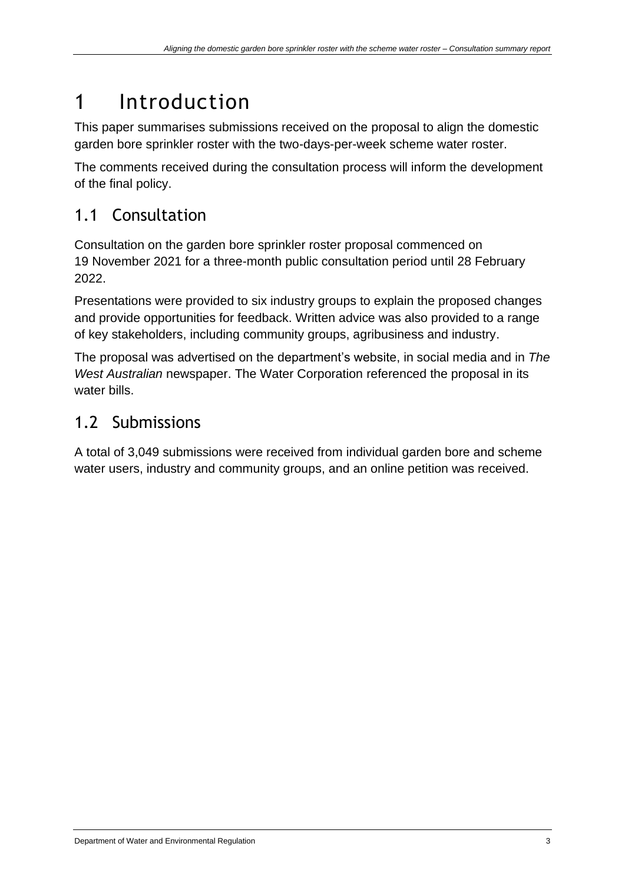### <span id="page-5-0"></span>1 Introduction

This paper summarises submissions received on the proposal to align the domestic garden bore sprinkler roster with the two-days-per-week scheme water roster.

The comments received during the consultation process will inform the development of the final policy.

#### <span id="page-5-1"></span>1.1 Consultation

Consultation on the garden bore sprinkler roster proposal commenced on 19 November 2021 for a three-month public consultation period until 28 February 2022.

Presentations were provided to six industry groups to explain the proposed changes and provide opportunities for feedback. Written advice was also provided to a range of key stakeholders, including community groups, agribusiness and industry.

The proposal was advertised on the department's website, in social media and in *The West Australian* newspaper. The Water Corporation referenced the proposal in its water bills.

### <span id="page-5-2"></span>1.2 Submissions

A total of 3,049 submissions were received from individual garden bore and scheme water users, industry and community groups, and an online petition was received.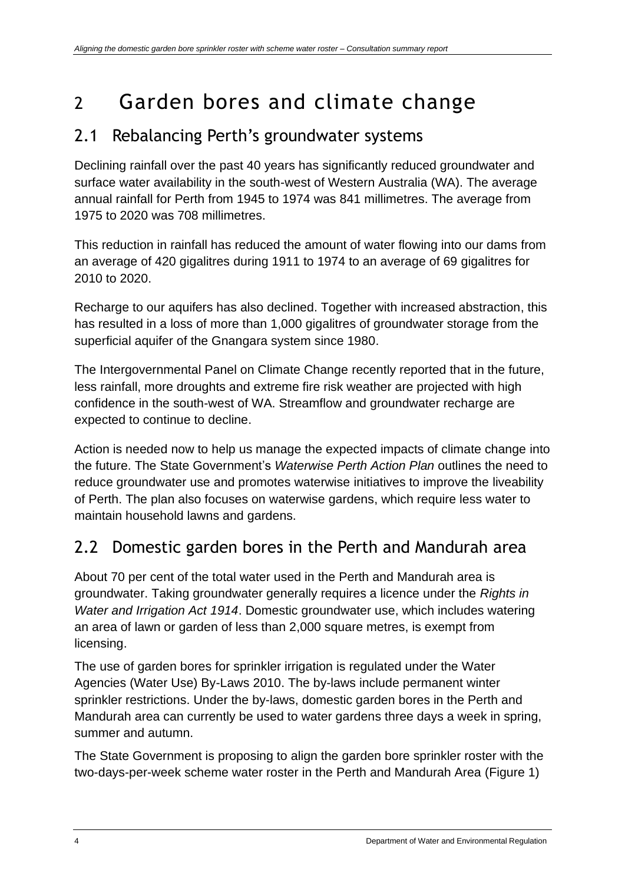### <span id="page-6-0"></span>2 Garden bores and climate change

#### <span id="page-6-1"></span>2.1 Rebalancing Perth's groundwater systems

Declining rainfall over the past 40 years has significantly reduced groundwater and surface water availability in the south-west of Western Australia (WA). The average annual rainfall for Perth from 1945 to 1974 was 841 millimetres. The average from 1975 to 2020 was 708 millimetres.

This reduction in rainfall has reduced the amount of water flowing into our dams from an average of 420 gigalitres during 1911 to 1974 to an average of 69 gigalitres for 2010 to 2020.

Recharge to our aquifers has also declined. Together with increased abstraction, this has resulted in a loss of more than 1,000 gigalitres of groundwater storage from the superficial aquifer of the Gnangara system since 1980.

The Intergovernmental Panel on Climate Change recently reported that in the future, less rainfall, more droughts and extreme fire risk weather are projected with high confidence in the south-west of WA. Streamflow and groundwater recharge are expected to continue to decline.

Action is needed now to help us manage the expected impacts of climate change into the future. The State Government's *Waterwise Perth Action Plan* outlines the need to reduce groundwater use and promotes waterwise initiatives to improve the liveability of Perth. The plan also focuses on waterwise gardens, which require less water to maintain household lawns and gardens.

### <span id="page-6-2"></span>2.2 Domestic garden bores in the Perth and Mandurah area

About 70 per cent of the total water used in the Perth and Mandurah area is groundwater. Taking groundwater generally requires a licence under the *Rights in Water and Irrigation Act 1914*. Domestic groundwater use, which includes watering an area of lawn or garden of less than 2,000 square metres, is exempt from licensing.

The use of garden bores for sprinkler irrigation is regulated under the Water Agencies (Water Use) By-Laws 2010. The by-laws include permanent winter sprinkler restrictions. Under the by-laws, domestic garden bores in the Perth and Mandurah area can currently be used to water gardens three days a week in spring, summer and autumn.

The State Government is proposing to align the garden bore sprinkler roster with the two-days-per-week scheme water roster in the Perth and Mandurah Area (Figure 1)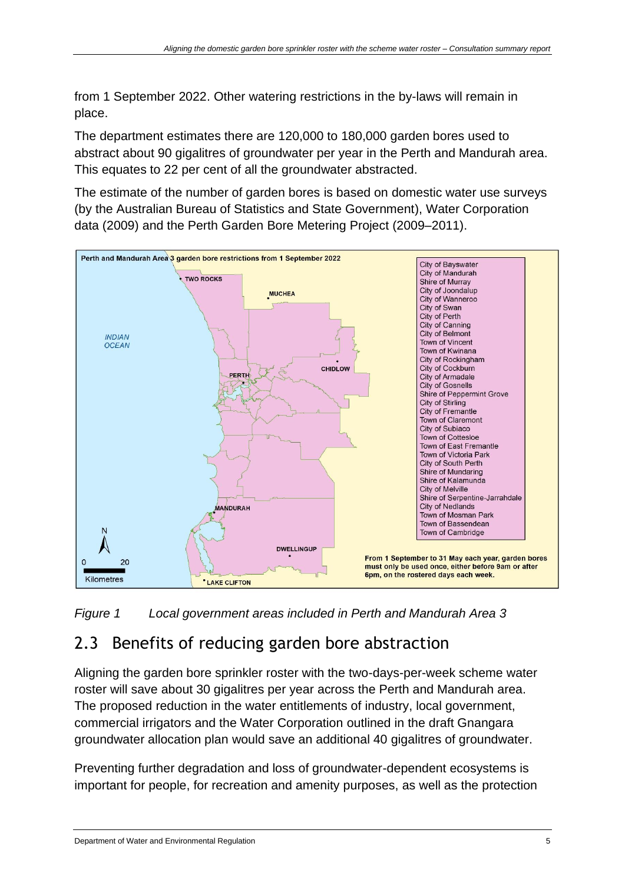from 1 September 2022. Other watering restrictions in the by-laws will remain in place.

The department estimates there are 120,000 to 180,000 garden bores used to abstract about 90 gigalitres of groundwater per year in the Perth and Mandurah area. This equates to 22 per cent of all the groundwater abstracted.

The estimate of the number of garden bores is based on domestic water use surveys (by the Australian Bureau of Statistics and State Government), Water Corporation data (2009) and the Perth Garden Bore Metering Project (2009–2011).



*Figure 1 Local government areas included in Perth and Mandurah Area 3*

#### <span id="page-7-0"></span>2.3 Benefits of reducing garden bore abstraction

Aligning the garden bore sprinkler roster with the two-days-per-week scheme water roster will save about 30 gigalitres per year across the Perth and Mandurah area. The proposed reduction in the water entitlements of industry, local government, commercial irrigators and the Water Corporation outlined in the draft Gnangara groundwater allocation plan would save an additional 40 gigalitres of groundwater.

Preventing further degradation and loss of groundwater-dependent ecosystems is important for people, for recreation and amenity purposes, as well as the protection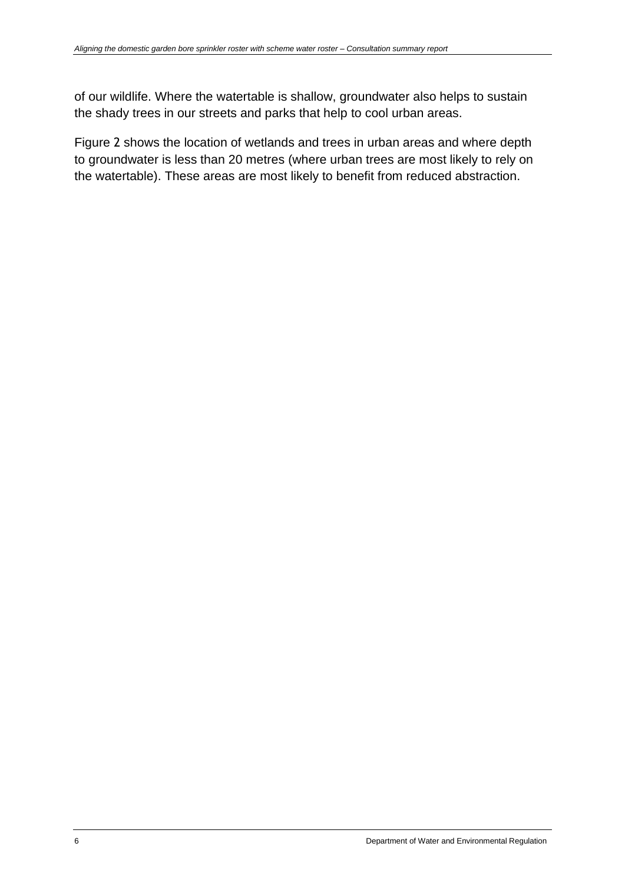of our wildlife. Where the watertable is shallow, groundwater also helps to sustain the shady trees in our streets and parks that help to cool urban areas.

[Figure](#page-9-0) 2 shows the location of wetlands and trees in urban areas and where depth to groundwater is less than 20 metres (where urban trees are most likely to rely on the watertable). These areas are most likely to benefit from reduced abstraction.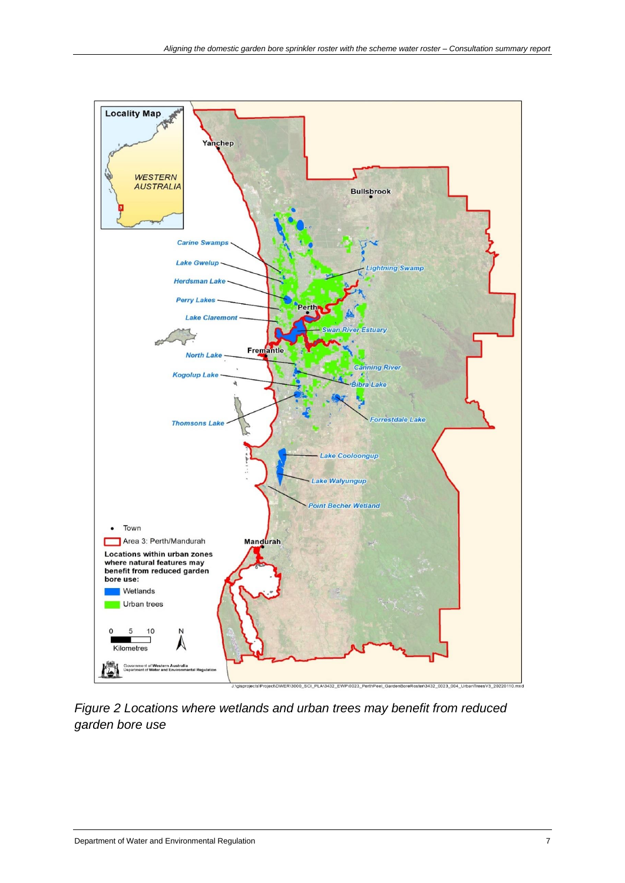

<span id="page-9-0"></span>*Figure 2 Locations where wetlands and urban trees may benefit from reduced garden bore use*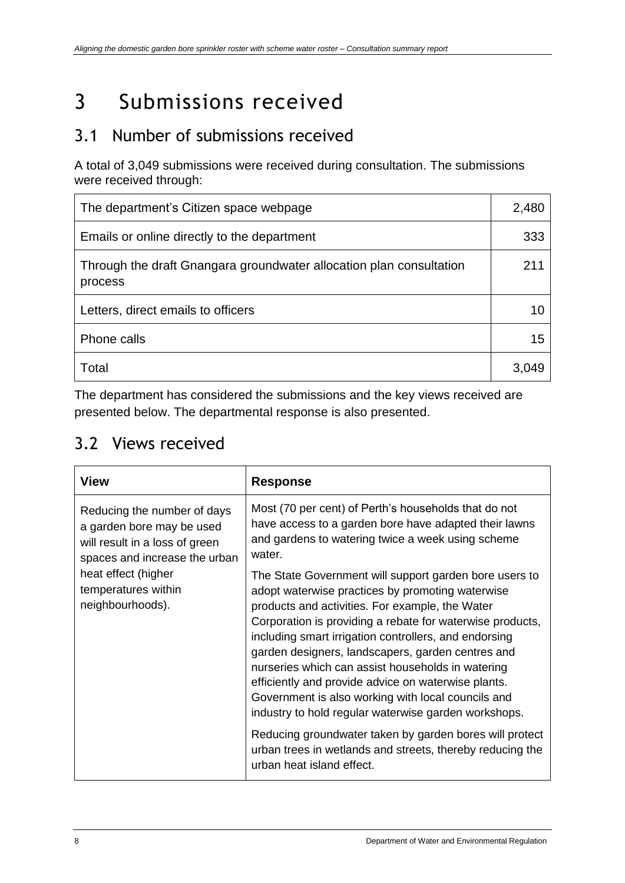# <span id="page-10-0"></span>3 Submissions received

#### <span id="page-10-1"></span>3.1 Number of submissions received

A total of 3,049 submissions were received during consultation. The submissions were received through:

| The department's Citizen space webpage                                         |       |
|--------------------------------------------------------------------------------|-------|
| Emails or online directly to the department                                    |       |
| Through the draft Gnangara groundwater allocation plan consultation<br>process |       |
| Letters, direct emails to officers                                             |       |
| Phone calls                                                                    |       |
| Total                                                                          | 3,049 |

The department has considered the submissions and the key views received are presented below. The departmental response is also presented.

#### <span id="page-10-2"></span>3.2 Views received

| <b>View</b>                                                                                                                 | <b>Response</b>                                                                                                                                                                                                                                                                                                                                                                                                                                                                                                                                                    |  |
|-----------------------------------------------------------------------------------------------------------------------------|--------------------------------------------------------------------------------------------------------------------------------------------------------------------------------------------------------------------------------------------------------------------------------------------------------------------------------------------------------------------------------------------------------------------------------------------------------------------------------------------------------------------------------------------------------------------|--|
| Reducing the number of days<br>a garden bore may be used<br>will result in a loss of green<br>spaces and increase the urban | Most (70 per cent) of Perth's households that do not<br>have access to a garden bore have adapted their lawns<br>and gardens to watering twice a week using scheme<br>water.                                                                                                                                                                                                                                                                                                                                                                                       |  |
| heat effect (higher<br>temperatures within<br>neighbourhoods).                                                              | The State Government will support garden bore users to<br>adopt waterwise practices by promoting waterwise<br>products and activities. For example, the Water<br>Corporation is providing a rebate for waterwise products,<br>including smart irrigation controllers, and endorsing<br>garden designers, landscapers, garden centres and<br>nurseries which can assist households in watering<br>efficiently and provide advice on waterwise plants.<br>Government is also working with local councils and<br>industry to hold regular waterwise garden workshops. |  |
|                                                                                                                             | Reducing groundwater taken by garden bores will protect<br>urban trees in wetlands and streets, thereby reducing the<br>urban heat island effect.                                                                                                                                                                                                                                                                                                                                                                                                                  |  |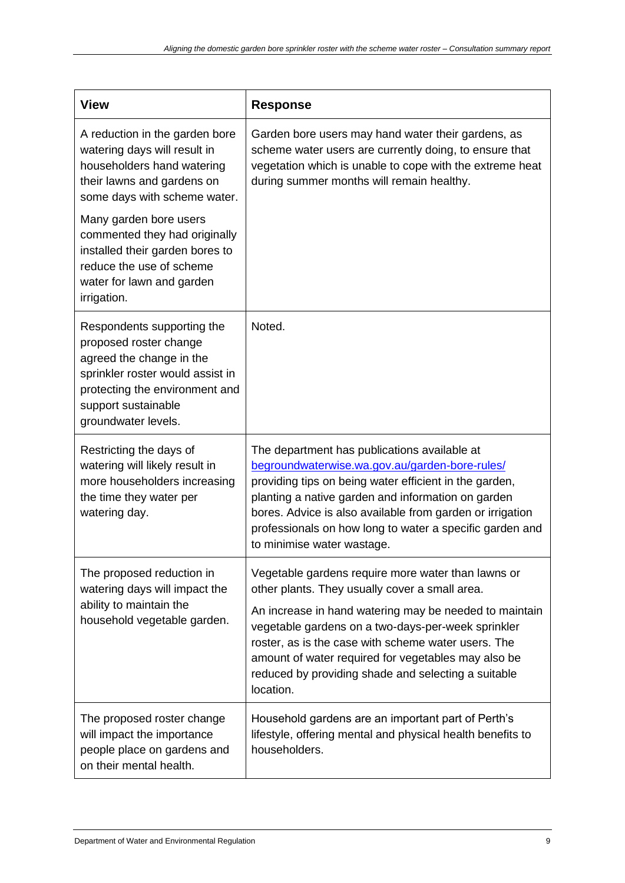| <b>View</b>                                                                                                                                                                                          | <b>Response</b>                                                                                                                                                                                                                                                                                                                                                                                        |
|------------------------------------------------------------------------------------------------------------------------------------------------------------------------------------------------------|--------------------------------------------------------------------------------------------------------------------------------------------------------------------------------------------------------------------------------------------------------------------------------------------------------------------------------------------------------------------------------------------------------|
| A reduction in the garden bore<br>watering days will result in<br>householders hand watering<br>their lawns and gardens on<br>some days with scheme water.                                           | Garden bore users may hand water their gardens, as<br>scheme water users are currently doing, to ensure that<br>vegetation which is unable to cope with the extreme heat<br>during summer months will remain healthy.                                                                                                                                                                                  |
| Many garden bore users<br>commented they had originally<br>installed their garden bores to<br>reduce the use of scheme<br>water for lawn and garden<br>irrigation.                                   |                                                                                                                                                                                                                                                                                                                                                                                                        |
| Respondents supporting the<br>proposed roster change<br>agreed the change in the<br>sprinkler roster would assist in<br>protecting the environment and<br>support sustainable<br>groundwater levels. | Noted.                                                                                                                                                                                                                                                                                                                                                                                                 |
| Restricting the days of<br>watering will likely result in<br>more householders increasing<br>the time they water per<br>watering day.                                                                | The department has publications available at<br>begroundwaterwise.wa.gov.au/garden-bore-rules/<br>providing tips on being water efficient in the garden,<br>planting a native garden and information on garden<br>bores. Advice is also available from garden or irrigation<br>professionals on how long to water a specific garden and<br>to minimise water wastage.                                  |
| The proposed reduction in<br>watering days will impact the<br>ability to maintain the<br>household vegetable garden.                                                                                 | Vegetable gardens require more water than lawns or<br>other plants. They usually cover a small area.<br>An increase in hand watering may be needed to maintain<br>vegetable gardens on a two-days-per-week sprinkler<br>roster, as is the case with scheme water users. The<br>amount of water required for vegetables may also be<br>reduced by providing shade and selecting a suitable<br>location. |
| The proposed roster change<br>will impact the importance<br>people place on gardens and<br>on their mental health.                                                                                   | Household gardens are an important part of Perth's<br>lifestyle, offering mental and physical health benefits to<br>householders.                                                                                                                                                                                                                                                                      |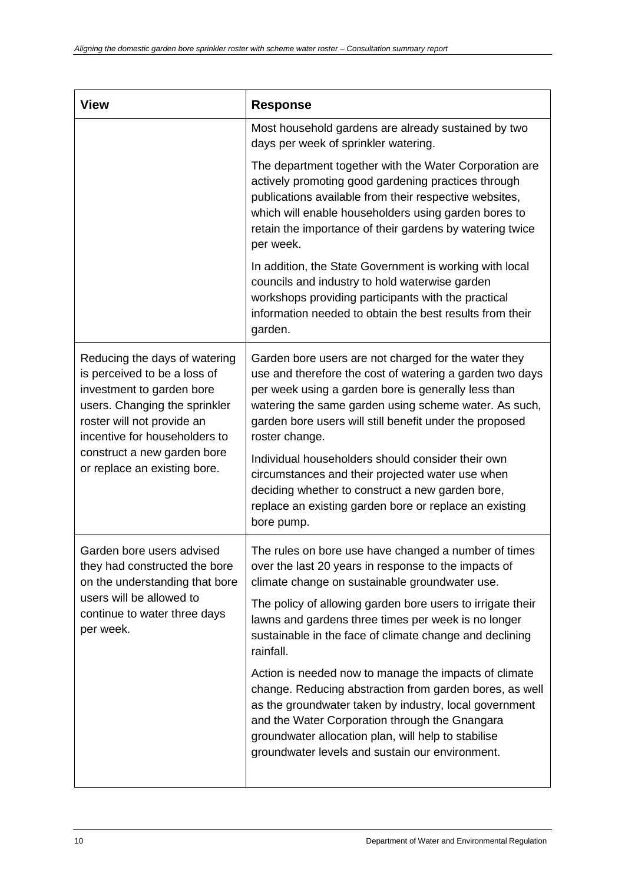| <b>View</b>                                                                                                                                                                                                                                               | <b>Response</b>                                                                                                                                                                                                                                                                                                                                                                                                                                                                                                                                                                                                                                                                                       |
|-----------------------------------------------------------------------------------------------------------------------------------------------------------------------------------------------------------------------------------------------------------|-------------------------------------------------------------------------------------------------------------------------------------------------------------------------------------------------------------------------------------------------------------------------------------------------------------------------------------------------------------------------------------------------------------------------------------------------------------------------------------------------------------------------------------------------------------------------------------------------------------------------------------------------------------------------------------------------------|
|                                                                                                                                                                                                                                                           | Most household gardens are already sustained by two<br>days per week of sprinkler watering.                                                                                                                                                                                                                                                                                                                                                                                                                                                                                                                                                                                                           |
|                                                                                                                                                                                                                                                           | The department together with the Water Corporation are<br>actively promoting good gardening practices through<br>publications available from their respective websites,<br>which will enable householders using garden bores to<br>retain the importance of their gardens by watering twice<br>per week.                                                                                                                                                                                                                                                                                                                                                                                              |
|                                                                                                                                                                                                                                                           | In addition, the State Government is working with local<br>councils and industry to hold waterwise garden<br>workshops providing participants with the practical<br>information needed to obtain the best results from their<br>garden.                                                                                                                                                                                                                                                                                                                                                                                                                                                               |
| Reducing the days of watering<br>is perceived to be a loss of<br>investment to garden bore<br>users. Changing the sprinkler<br>roster will not provide an<br>incentive for householders to<br>construct a new garden bore<br>or replace an existing bore. | Garden bore users are not charged for the water they<br>use and therefore the cost of watering a garden two days<br>per week using a garden bore is generally less than<br>watering the same garden using scheme water. As such,<br>garden bore users will still benefit under the proposed<br>roster change.<br>Individual householders should consider their own<br>circumstances and their projected water use when<br>deciding whether to construct a new garden bore,<br>replace an existing garden bore or replace an existing<br>bore pump.                                                                                                                                                    |
| Garden bore users advised<br>they had constructed the bore<br>on the understanding that bore<br>users will be allowed to<br>continue to water three days<br>per week.                                                                                     | The rules on bore use have changed a number of times<br>over the last 20 years in response to the impacts of<br>climate change on sustainable groundwater use.<br>The policy of allowing garden bore users to irrigate their<br>lawns and gardens three times per week is no longer<br>sustainable in the face of climate change and declining<br>rainfall.<br>Action is needed now to manage the impacts of climate<br>change. Reducing abstraction from garden bores, as well<br>as the groundwater taken by industry, local government<br>and the Water Corporation through the Gnangara<br>groundwater allocation plan, will help to stabilise<br>groundwater levels and sustain our environment. |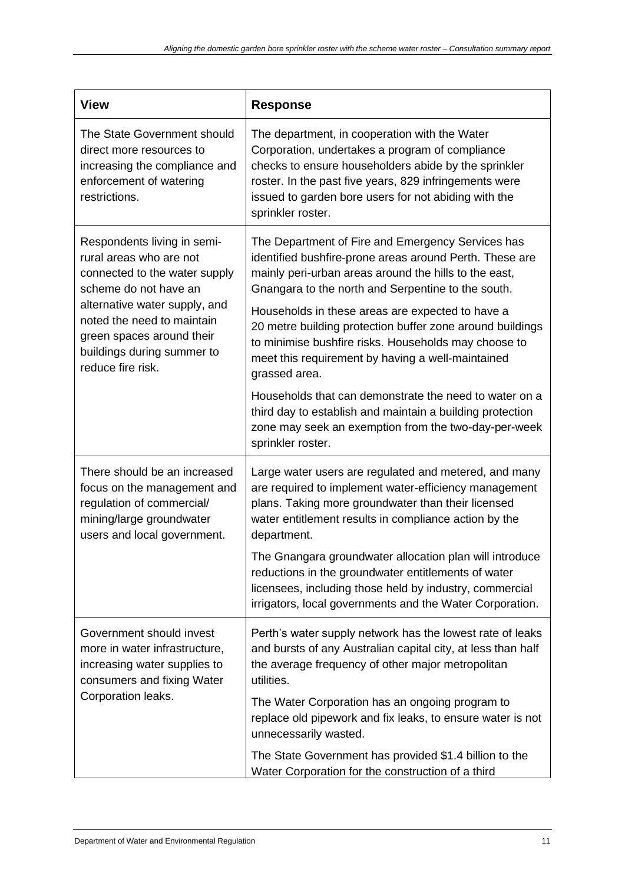| <b>View</b>                                                                                                                                                                                                                                                     | <b>Response</b>                                                                                                                                                                                                                                                                                                                                                                                                                                                                                                                                                                                                                                                                |
|-----------------------------------------------------------------------------------------------------------------------------------------------------------------------------------------------------------------------------------------------------------------|--------------------------------------------------------------------------------------------------------------------------------------------------------------------------------------------------------------------------------------------------------------------------------------------------------------------------------------------------------------------------------------------------------------------------------------------------------------------------------------------------------------------------------------------------------------------------------------------------------------------------------------------------------------------------------|
| The State Government should<br>direct more resources to<br>increasing the compliance and<br>enforcement of watering<br>restrictions.                                                                                                                            | The department, in cooperation with the Water<br>Corporation, undertakes a program of compliance<br>checks to ensure householders abide by the sprinkler<br>roster. In the past five years, 829 infringements were<br>issued to garden bore users for not abiding with the<br>sprinkler roster.                                                                                                                                                                                                                                                                                                                                                                                |
| Respondents living in semi-<br>rural areas who are not<br>connected to the water supply<br>scheme do not have an<br>alternative water supply, and<br>noted the need to maintain<br>green spaces around their<br>buildings during summer to<br>reduce fire risk. | The Department of Fire and Emergency Services has<br>identified bushfire-prone areas around Perth. These are<br>mainly peri-urban areas around the hills to the east,<br>Gnangara to the north and Serpentine to the south.<br>Households in these areas are expected to have a<br>20 metre building protection buffer zone around buildings<br>to minimise bushfire risks. Households may choose to<br>meet this requirement by having a well-maintained<br>grassed area.<br>Households that can demonstrate the need to water on a<br>third day to establish and maintain a building protection<br>zone may seek an exemption from the two-day-per-week<br>sprinkler roster. |
| There should be an increased<br>focus on the management and<br>regulation of commercial/<br>mining/large groundwater<br>users and local government.                                                                                                             | Large water users are regulated and metered, and many<br>are required to implement water-efficiency management<br>plans. Taking more groundwater than their licensed<br>water entitlement results in compliance action by the<br>department.<br>The Gnangara groundwater allocation plan will introduce<br>reductions in the groundwater entitlements of water<br>licensees, including those held by industry, commercial<br>irrigators, local governments and the Water Corporation.                                                                                                                                                                                          |
| Government should invest<br>more in water infrastructure,<br>increasing water supplies to<br>consumers and fixing Water<br>Corporation leaks.                                                                                                                   | Perth's water supply network has the lowest rate of leaks<br>and bursts of any Australian capital city, at less than half<br>the average frequency of other major metropolitan<br>utilities.<br>The Water Corporation has an ongoing program to<br>replace old pipework and fix leaks, to ensure water is not<br>unnecessarily wasted.<br>The State Government has provided \$1.4 billion to the<br>Water Corporation for the construction of a third                                                                                                                                                                                                                          |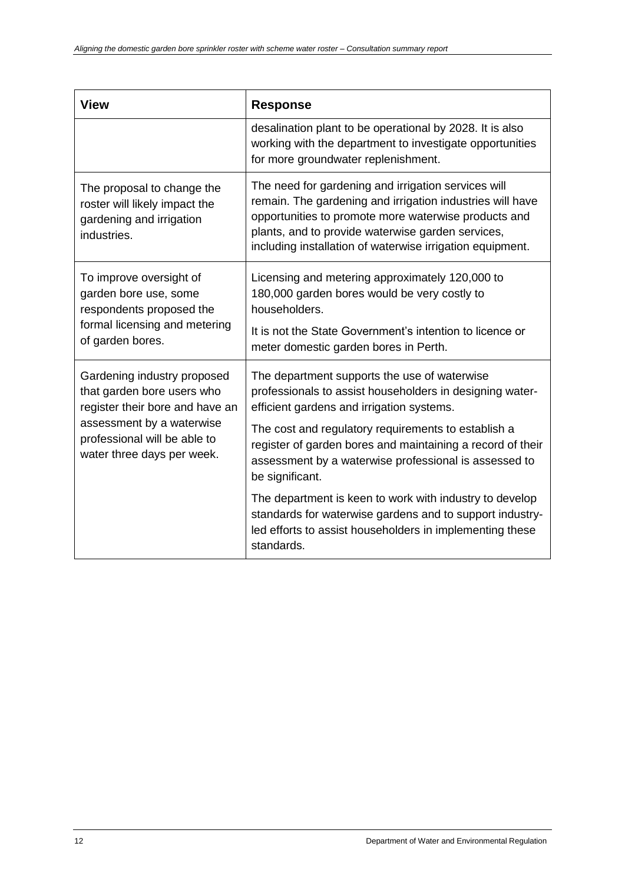| <b>View</b>                                                                                                                       | <b>Response</b>                                                                                                                                                                                                                                                                            |
|-----------------------------------------------------------------------------------------------------------------------------------|--------------------------------------------------------------------------------------------------------------------------------------------------------------------------------------------------------------------------------------------------------------------------------------------|
|                                                                                                                                   | desalination plant to be operational by 2028. It is also<br>working with the department to investigate opportunities<br>for more groundwater replenishment.                                                                                                                                |
| The proposal to change the<br>roster will likely impact the<br>gardening and irrigation<br>industries.                            | The need for gardening and irrigation services will<br>remain. The gardening and irrigation industries will have<br>opportunities to promote more waterwise products and<br>plants, and to provide waterwise garden services,<br>including installation of waterwise irrigation equipment. |
| To improve oversight of<br>garden bore use, some<br>respondents proposed the<br>formal licensing and metering<br>of garden bores. | Licensing and metering approximately 120,000 to<br>180,000 garden bores would be very costly to<br>householders.<br>It is not the State Government's intention to licence or<br>meter domestic garden bores in Perth.                                                                      |
| Gardening industry proposed<br>that garden bore users who<br>register their bore and have an                                      | The department supports the use of waterwise<br>professionals to assist householders in designing water-<br>efficient gardens and irrigation systems.                                                                                                                                      |
| assessment by a waterwise<br>professional will be able to<br>water three days per week.                                           | The cost and regulatory requirements to establish a<br>register of garden bores and maintaining a record of their<br>assessment by a waterwise professional is assessed to<br>be significant.                                                                                              |
|                                                                                                                                   | The department is keen to work with industry to develop<br>standards for waterwise gardens and to support industry-<br>led efforts to assist householders in implementing these<br>standards.                                                                                              |